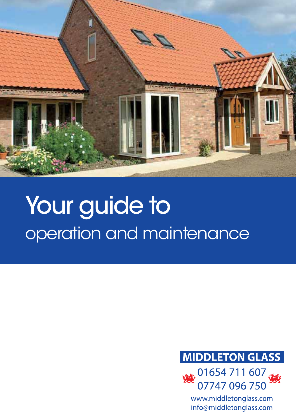

## Your guide to operation and maintenance





www.middletonglass.com info@middletonglass.com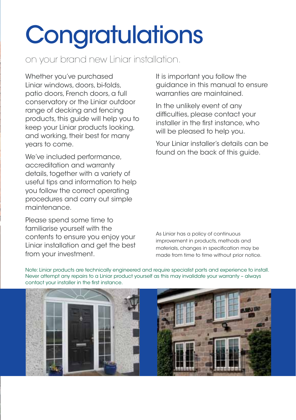# **Congratulations**

on your brand new Liniar installation.

Whether you've purchased Liniar windows, doors, bi-folds, patio doors, French doors, a full conservatory or the Liniar outdoor range of decking and fencing products, this guide will help you to keep your Liniar products looking, and working, their best for many years to come.

We've included performance, accreditation and warranty details, together with a variety of useful tips and information to help you follow the correct operating procedures and carry out simple maintenance.

Please spend some time to familiarise yourself with the contents to ensure you enjoy your Liniar installation and get the best from your investment.

It is important you follow the guidance in this manual to ensure warranties are maintained.

In the unlikely event of any difficulties, please contact your installer in the first instance, who will be pleased to help you.

Your Liniar installer's details can be found on the back of this guide.

As Liniar has a policy of continuous improvement in products, methods and materials, changes in specification may be made from time to time without prior notice.

Note: Liniar products are technically engineered and require specialist parts and experience to install. Never attempt any repairs to a Liniar product yourself as this may invalidate your warranty – always contact your installer in the first instance.

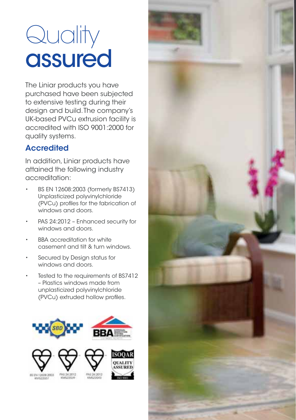## Quality **assured**

The Liniar products you have purchased have been subjected to extensive testing during their design and build. The company's UK-based PVCu extrusion facility is accredited with ISO 9001:2000 for quality systems.

### **Accredited**

In addition, Liniar products have attained the following industry accreditation:

- BS EN 12608:2003 (formerly BS7413) Unplasticized polyvinylchloride (PVCu) profiles for the fabrication of windows and doors.
- PAS 24:2012 Enhanced security for windows and doors.
- BBA accreditation for white casement and tilt & turn windows.
- Secured by Design status for windows and doors.
- Tested to the requirements of BS7412 – Plastics windows made from unplasticized polyvinylchloride (PVCu) extruded hollow profiles.



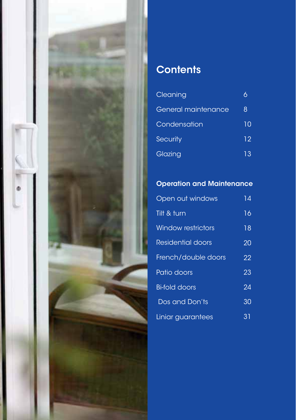

## **Contents**

| Cleaning            | h  |
|---------------------|----|
| General maintenance | 8  |
| Condensation        | 10 |
| Security            | 12 |
| Glazing             | 13 |

### Operation and Maintenance

| Open out windows     | 14 |
|----------------------|----|
| Tilt & turn          | 16 |
| Window restrictors   | 18 |
| Residential doors    | 20 |
| French/double doors  | 22 |
| Patio doors          | 23 |
| <b>Bi-fold doors</b> | 24 |
| Dos and Don'ts       | 30 |
| Liniar guarantees    | 31 |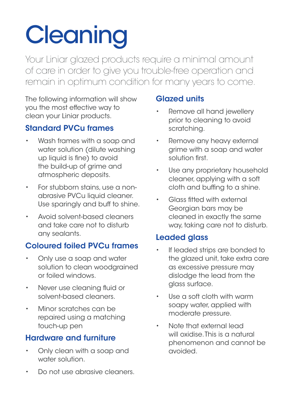# **Cleaning**

Your Liniar glazed products require a minimal amount of care in order to give you trouble-free operation and remain in optimum condition for many years to come.

The following information will show you the most effective way to clean your Liniar products.

### Standard PVCu frames

- Wash frames with a soap and water solution (dilute washing up liquid is fine) to avoid the build-up of grime and atmospheric deposits.
- For stubborn stains, use a nonabrasive PVCu liquid cleaner. Use sparingly and buff to shine.
- Avoid solvent-based cleaners and take care not to disturb any sealants.

### Coloured foiled PVCu frames

- Only use a soap and water solution to clean woodgrained or foiled windows.
- Never use cleaning fluid or solvent-based cleaners.
- Minor scratches can be repaired using a matching touch-up pen

### Hardware and furniture

- Only clean with a soap and water solution.
- Do not use abrasive cleaners.

### Glazed units

- Remove all hand jewellery prior to cleaning to avoid scratching.
- Remove any heavy external grime with a soap and water solution first.
- Use any proprietary household cleaner, applying with a soft cloth and buffing to a shine.
- Glass fitted with external Georgian bars may be cleaned in exactly the same way, taking care not to disturb.

### Leaded glass

- If leaded strips are bonded to the alazed unit, take extra care as excessive pressure may dislodge the lead from the glass surface.
- Use a soft cloth with warm soapy water, applied with moderate pressure.
- Note that external lead will oxidise. This is a natural phenomenon and cannot be avoided.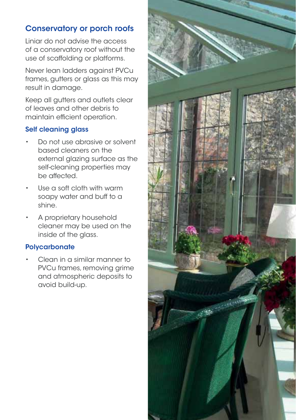### Conservatory or porch roofs

Liniar do not advise the access of a conservatory roof without the use of scaffolding or platforms.

Never lean ladders against PVCu frames, gutters or glass as this may result in damage.

Keep all gutters and outlets clear of leaves and other debris to maintain efficient operation.

#### Self cleaning glass

- Do not use abrasive or solvent based cleaners on the external glazing surface as the self-cleaning properties may be affected.
- Use a soft cloth with warm soapy water and buff to a shine.
- A proprietary household cleaner may be used on the inside of the glass.

#### **Polycarbonate**

• Clean in a similar manner to PVCu frames, removing grime and atmospheric deposits to avoid build-up.

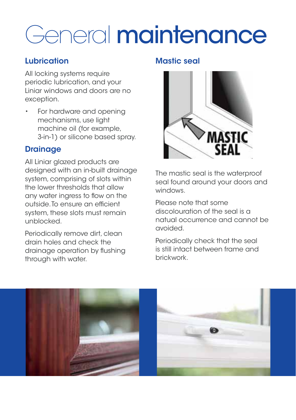## General maintenance

### Lubrication

All locking systems require periodic lubrication, and your Liniar windows and doors are no exception.

For hardware and opening mechanisms, use light machine oil (for example, 3-in-1) or silicone based spray.

### **Drainage**

All Liniar glazed products are designed with an in-built drainage system, comprising of slots within the lower thresholds that allow any water ingress to flow on the outside. To ensure an efficient system, these slots must remain unblocked.

Periodically remove dirt, clean drain holes and check the drainage operation by flushing through with water.

### Mastic seal



The mastic seal is the waterproof seal found around your doors and windows.

Please note that some discolouration of the seal is a natual occurrence and cannot be avoided.

Periodically check that the seal is still intact between frame and brickwork.

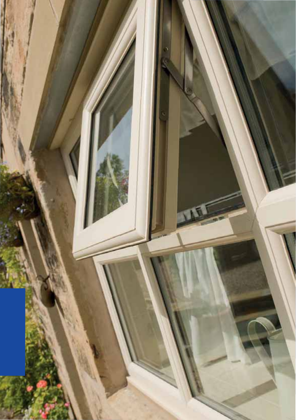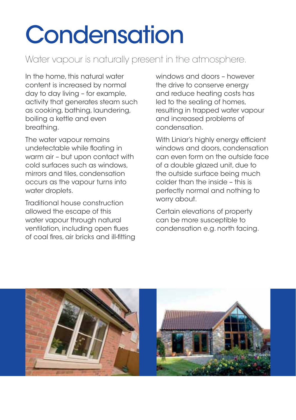## **Condensation**

Water vapour is naturally present in the atmosphere.

In the home, this natural water content is increased by normal day to day living – for example, activity that generates steam such as cooking, bathing, laundering, boiling a kettle and even breathing.

The water vapour remains undetectable while floating in warm air – but upon contact with cold surfaces such as windows, mirrors and tiles, condensation occurs as the vapour turns into water droplets.

Traditional house construction allowed the escape of this water vapour through natural ventilation, including open flues of coal fires, air bricks and ill-fitting

windows and doors – however the drive to conserve energy and reduce heating costs has led to the sealing of homes, resulting in trapped water vapour and increased problems of condensation.

With Liniar's highly energy efficient windows and doors, condensation can even form on the outside face of a double glazed unit, due to the outside surface being much colder than the inside – this is perfectly normal and nothing to worry about.

Certain elevations of property can be more susceptible to condensation e.g. north facing.

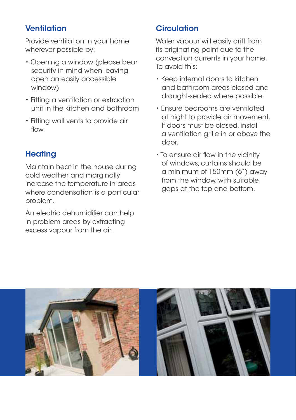### **Ventilation**

Provide ventilation in your home wherever possible by:

- Opening a window (please bear security in mind when leaving open an easily accessible window)
- Fitting a ventilation or extraction unit in the kitchen and bathroom
- Fitting wall vents to provide air flow.

### **Heating**

Maintain heat in the house during cold weather and marginally increase the temperature in areas where condensation is a particular problem.

An electric dehumidifier can help in problem areas by extracting excess vapour from the air.

### **Circulation**

Water vapour will easily drift from its originating point due to the convection currents in your home. To avoid this:

- Keep internal doors to kitchen and bathroom areas closed and draught-sealed where possible.
- Ensure bedrooms are ventilated at night to provide air movement. If doors must be closed, install a ventilation grille in or above the door.
- To ensure air flow in the vicinity of windows, curtains should be a minimum of 150mm (6") away from the window with suitable gaps at the top and bottom.

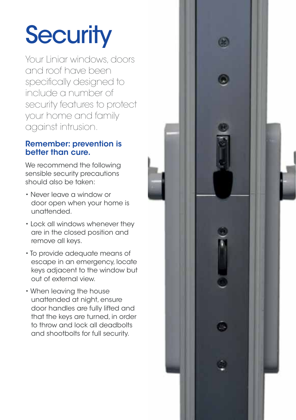## **Security**

Your Liniar windows, doors and roof have been specifically designed to include a number of security features to protect your home and family against intrusion.

### Remember: prevention is better than cure.

We recommend the following sensible security precautions should also be taken:

- Never leave a window or door open when your home is unattended.
- Lock all windows whenever they are in the closed position and remove all keys.
- To provide adequate means of escape in an emergency, locate keys adjacent to the window but out of external view.
- When leaving the house unattended at night, ensure door handles are fully lifted and that the keys are turned, in order to throw and lock all deadbolts and shootbolts for full security.

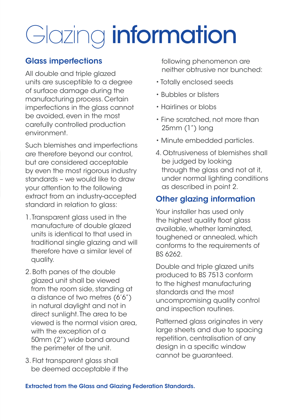## Glazing **information**

### Glass imperfections

All double and triple glazed units are susceptible to a degree of surface damage during the manufacturing process. Certain imperfections in the glass cannot be avoided, even in the most carefully controlled production environment.

Such blemishes and imperfections are therefore beyond our control, but are considered acceptable by even the most rigorous industry standards – we would like to draw your attention to the following extract from an industry-accepted standard in relation to alass:

- 1. Transparent glass used in the manufacture of double glazed units is identical to that used in traditional single glazing and will therefore have a similar level of quality.
- 2. Both panes of the double glazed unit shall be viewed from the room side, standing at a distance of two metres (6'6") in natural daylight and not in direct sunlight. The area to be viewed is the normal vision area, with the exception of a 50mm (2") wide band around the perimeter of the unit.
- 3. Flat transparent glass shall be deemed acceptable if the

 following phenomenon are neither obtrusive nor bunched:

- Totally enclosed seeds
- Bubbles or blisters
- Hairlines or blobs
- Fine scratched, not more than 25mm (1") long
- Minute embedded particles.
- 4. Obtrusiveness of blemishes shall be judged by looking through the glass and not at it, under normal lighting conditions as described in point 2.

### Other glazing information

Your installer has used only the highest quality float glass available, whether laminated, toughened or annealed, which conforms to the requirements of BS 6262.

Double and triple glazed units produced to BS 7513 conform to the highest manufacturing standards and the most uncompromising quality control and inspection routines.

Patterned glass originates in very large sheets and due to spacing repetition, centralisation of any design in a specific window cannot be guaranteed.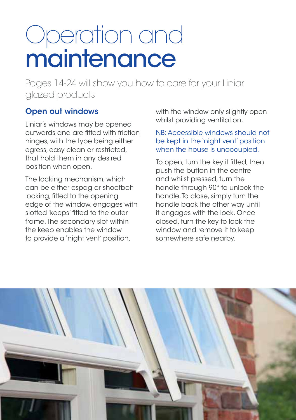## Operation and maintenance

Pages 14-24 will show you how to care for your Liniar glazed products.

### Open out windows

Liniar's windows may be opened outwards and are fitted with friction hinges, with the type being either egress, easy clean or restricted, that hold them in any desired position when open.

The locking mechanism, which can be either espag or shootbolt locking, fitted to the opening edge of the window, engages with slotted 'keeps' fitted to the outer frame. The secondary slot within the keep enables the window to provide a 'night vent' position,

with the window only slightly open whilst providing ventilation.

NB: Accessible windows should not be kept in the 'night vent' position when the house is unoccupied.

To open, turn the key if fitted, then push the button in the centre and whilst pressed, turn the handle through 90º to unlock the handle. To close, simply turn the handle back the other way until it engages with the lock. Once closed, turn the key to lock the window and remove it to keep somewhere safe nearby.

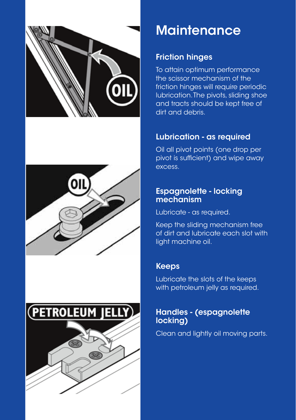

## **Maintenance**

### Friction hinges

To attain optimum performance the scissor mechanism of the friction hinges will require periodic lubrication. The pivots, sliding shoe and tracts should be kept free of dirt and debris.

### Lubrication - as required

Oil all pivot points (one drop per pivot is sufficient) and wipe away excess.

### Espagnolette - locking mechanism

Lubricate - as required.

Keep the sliding mechanism free of dirt and lubricate each slot with light machine oil.

### Keeps

Lubricate the slots of the keeps with petroleum jelly as required.

### Handles - (espagnolette locking)

Clean and lightly oil moving parts.



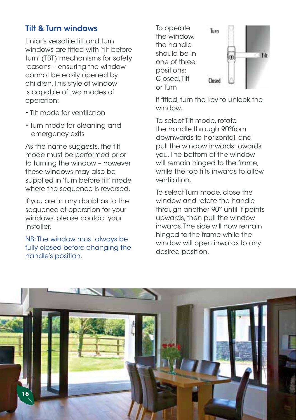### Tilt & Turn windows

Liniar's versatile tilt and turn windows are fitted with 'tilt before turn' (TBT) mechanisms for safety reasons – ensuring the window cannot be easily opened by children. This style of window is capable of two modes of operation:

- Tilt mode for ventilation
- Turn mode for cleaning and emergency exits

As the name suggests, the tilt mode must be performed prior to turning the window – however these windows may also be supplied in 'turn before tilt' mode where the sequence is reversed.

If you are in any doubt as to the sequence of operation for your windows, please contact your installer.

NB: The window must always be fully closed before changing the handle's position.



If fitted, turn the key to unlock the window.

To select Tilt mode, rotate the handle through 90ºfrom downwards to horizontal, and pull the window inwards towards you. The bottom of the window will remain hinged to the frame, while the top tilts inwards to allow ventilation.

To select Turn mode, close the window and rotate the handle through another 90º until it points upwards, then pull the window inwards. The side will now remain hinged to the frame while the window will open inwards to any desired position.

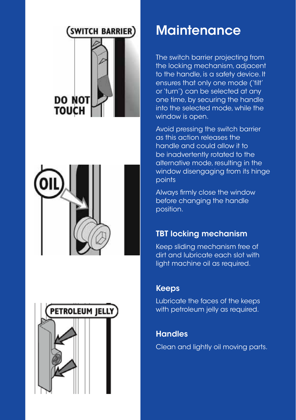### (SWITCH BARRIER)







## **Maintenance**

The switch barrier projecting from the locking mechanism, adjacent to the handle, is a safety device. It ensures that only one mode ('tilt' or 'turn') can be selected at any one time, by securing the handle into the selected mode, while the window is open.

Avoid pressing the switch barrier as this action releases the handle and could allow it to be inadvertently rotated to the alternative mode, resulting in the window disengaging from its hinge points

Always firmly close the window before changing the handle position.

### TBT locking mechanism

Keep sliding mechanism free of dirt and lubricate each slot with light machine oil as required.

### Keeps

Lubricate the faces of the keeps with petroleum jelly as required.

### **Handles**

Clean and lightly oil moving parts.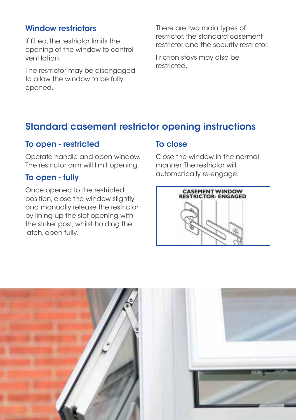### Window restrictors

If fitted, the restrictor limits the opening of the window to control ventilation.

The restrictor may be disengaged to allow the window to be fully opened.

There are two main types of restrictor, the standard casement restrictor and the security restrictor.

Friction stays may also be restricted.

### Standard casement restrictor opening instructions

### To open - restricted

Operate handle and open window. The restrictor arm will limit opening.

### To open - fully

Once opened to the restricted position, close the window slightly and manually release the restrictor by lining up the slot opening with the striker post, whilst holding the latch, open fully.

#### To close

Close the window in the normal manner. The restrictor will automatically re-engage.



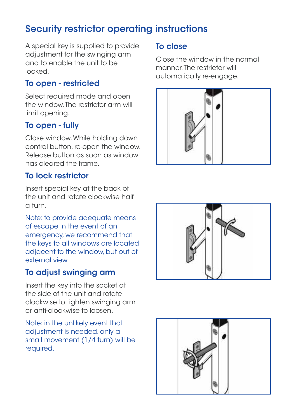### Security restrictor operating instructions

A special key is supplied to provide adjustment for the swinging arm and to enable the unit to be locked.

### To open - restricted

Select required mode and open the window. The restrictor arm will limit opening.

### To open - fully

Close window. While holding down control button, re-open the window. Release button as soon as window has cleared the frame.

### To lock restrictor

Insert special key at the back of the unit and rotate clockwise half a turn.

Note: to provide adequate means of escape in the event of an emergency, we recommend that the keys to all windows are located adjacent to the window, but out of external view.

### To adjust swinging arm

Insert the key into the socket at the side of the unit and rotate clockwise to tighten swinging arm or anti-clockwise to loosen.

Note: in the unlikely event that adjustment is needed, only a small movement (1/4 turn) will be required.

### To close

Close the window in the normal manner. The restrictor will automatically re-engage.





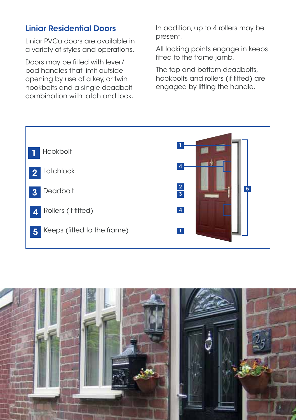### Liniar Residential Doors

Liniar PVCu doors are available in a variety of styles and operations.

Doors may be fitted with lever/ pad handles that limit outside opening by use of a key, or twin hookbolts and a single deadbolt combination with latch and lock. In addition, up to 4 rollers may be present.

All locking points engage in keeps fitted to the frame jamb.

The top and bottom deadbolts, hookbolts and rollers (if fitted) are engaged by lifting the handle.



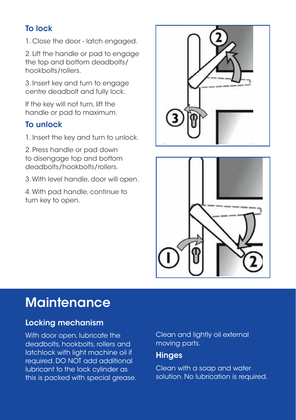### To lock

1. Close the door - latch engaged.

2. Lift the handle or pad to engage the top and bottom deadbolts/ hookbolts/rollers.

3. Insert key and turn to engage centre deadbolt and fully lock.

If the key will not turn, lift the handle or pad to maximum.

### To unlock

1. Insert the key and turn to unlock.

2. Press handle or pad down to disengage top and bottom deadbolts/hookbolts/rollers.

3. With level handle, door will open.

4. With pad handle, continue to turn key to open.





### **Maintenance**

### Locking mechanism

With door open, lubricate the deadbolts, hookbolts, rollers and latchlock with light machine oil if required. DO NOT add additional lubricant to the lock cylinder as this is packed with special grease.

Clean and lightly oil external moving parts.

### Hinges

Clean with a soap and water solution. No lubrication is required.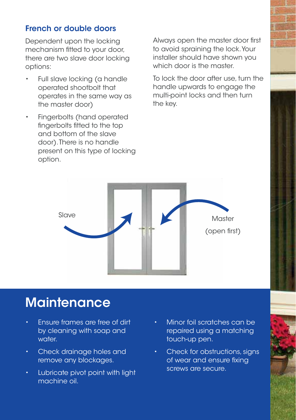### French or double doors

Dependent upon the locking mechanism fitted to your door, there are two slave door locking options:

- Full slave locking (a handle operated shootbolt that operates in the same way as the master door)
- Fingerbolts (hand operated fingerbolts fitted to the top and bottom of the slave door). There is no handle present on this type of locking option.

Always open the master door first to avoid spraining the lock. Your installer should have shown you which door is the master.

To lock the door after use, turn the handle upwards to engage the multi-point locks and then turn the key.



### **Maintenance**

- Ensure frames are free of dirt by cleaning with soap and water.
- Check drainage holes and remove any blockages.
- Lubricate pivot point with light machine oil.
- Minor foil scratches can be repaired using a matching touch-up pen.
- Check for obstructions, signs of wear and ensure fixing screws are secure.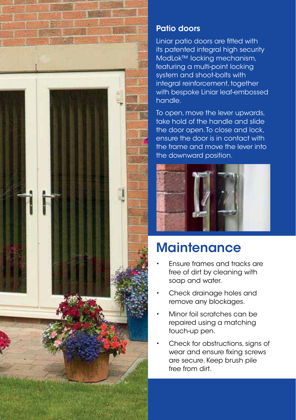

### Patio doors

Liniar patio doors are fitted with its patented integral high security ModLok™ locking mechanism, featuring a multi-point locking system and shoot-bolts with integral reinforcement, together with bespoke Liniar leaf-embossed handle.

To open, move the lever upwards, take hold of the handle and slide the door open. To close and lock, ensure the door is in contact with the frame and move the lever into the downward position.



## **Maintenance**

- Ensure frames and tracks are free of dirt by cleaning with soap and water.
- Check drainage holes and remove any blockages.
- Minor foil scratches can be repaired using a matching touch-up pen.
- Check for obstructions, signs of wear and ensure fixing screws are secure. Keep brush pile free from dirt.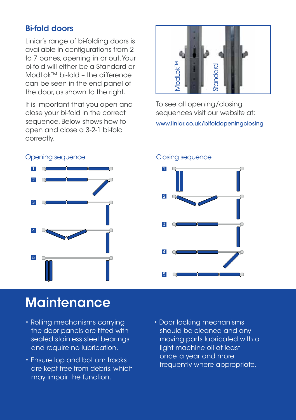### Bi-fold doors

Liniar's range of bi-folding doors is available in configurations from 2 to 7 panes, opening in or out. Your bi-fold will either be a Standard or ModLok™ bi-fold – the difference can be seen in the end panel of the door, as shown to the right.

It is important that you open and close your bi-fold in the correct sequence. Below shows how to open and close a 3-2-1 bi-fold correctly. bi-fold will either be a Standard or<br>
ModLok™ bi-fold – the difference<br>
can be seen in the end panel of<br>
the door, as shown to the right.<br>
It is important that you open and<br>
close your bi-fold in the correct<br>
sequences vi



 To see all opening/closing sequences visit our website at: www.liniar.co.uk/bifoldopeningclosing



### **Maintenance**

- Rolling mechanisms carrying the door panels are fitted with sealed stainless steel bearings and require no lubrication.
- Ensure top and bottom tracks are kept free from debris, which may impair the function.

• Door locking mechanisms should be cleaned and any moving parts lubricated with a light machine oil at least once a year and more frequently where appropriate.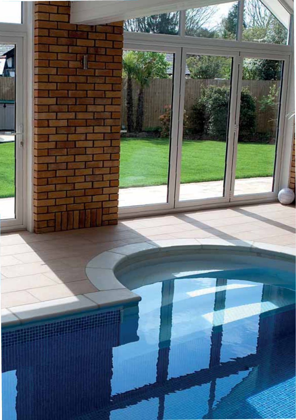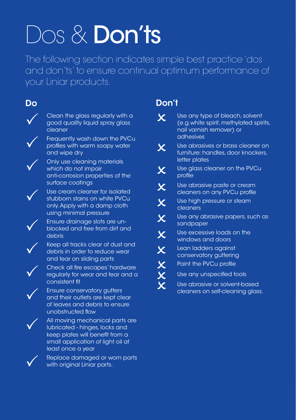## Dos & **Don'ts**

The following section indicates simple best practice 'dos and don'ts' to ensure continual optimum performance of your Liniar products.



**V** Clean the glass regularly with a<br>good quality liquid spray glass<br>cleaner good quality liquid spray glass cleaner



Frequently wash down the PVCu<br>profiles with warm soapy water<br>and wipe dry profiles with warm soapy water and wipe dry



**3** Only use cleaning materials<br>
which do not impair<br>
anti-corrosion properties of the which do not impair surface coatings



Use cream cleaner for isolated<br>3 stubborn stains on white PVCu<br>3 only. Apply with a damp cloth stubborn stains on white PVCu only. Apply with a damp cloth using minimal pressure



Summary Ensure drainage slots are un-<br>3 blocked and free from dirt are<br>3 debris blocked and free from dirt and debris



Solution Keep all tracks clear of dust and<br>3 debris in order to reduce wear<br>3 and tear on slidina parts debris in order to reduce wear and tear on sliding parts



Sheck all fire escapes' hardware<br>3 regularly for wear and tear and a<br>3 consistent fit regularly for wear and tear and a consistent fit



Ensure conservatory gutters<br>3 and their outlets are kept ck<br>3 of leaves and debris to ensu and their outlets are kept clear of leaves and debris to ensure unobstructed flow



3 All moving mechanical parts are<br>3 Iubricated - hinges, locks and<br>3 keep plates will benefit from a lubricated - hinges, locks and keep plates will benefit from a small application of light oil at least once a year



Replace damaged or worn parts with original Liniar parts.

### Do Don't

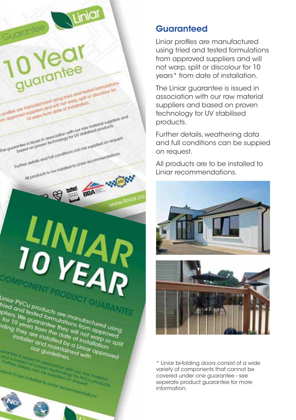

### Guaranteed

Liniar profiles are manufactured using tried and tested formulations from approved suppliers and will not warp, split or discolour for 10 years\* from date of installation.

The Liniar guarantee is issued in association with our raw material suppliers and based on proven technology for UV stabilised products.

Further details, weathering data and full conditions can be suppied on request.

All products are to be installed to Liniar recommendations.





\* Liniar bi-folding doors consist of a wide variety of components that cannot be covered under one guarantee - see seperate product guarantee for more information.